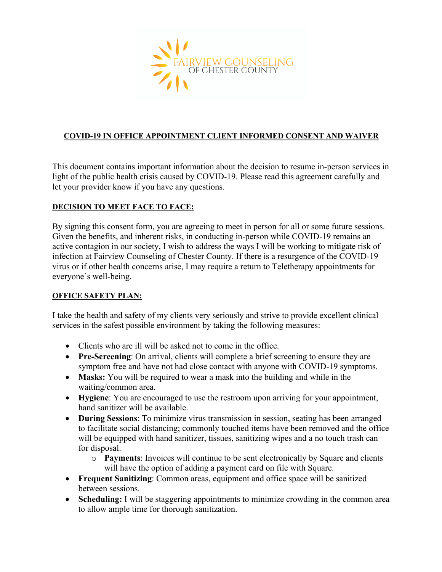

### **COVID-19 IN OFFICE APPOINTMENT CLIENT INFORMED CONSENT AND WAIVER**

This document contains important information about the decision to resume in-person services in light of the public health crisis caused by COVID-19. Please read this agreement carefully and let your provider know if you have any questions.

### **DECISION TO MEET FACE TO FACE:**

By signing this consent form, you are agreeing to meet in person for all or some future sessions. Given the benefits, and inherent risks, in conducting in-person while COVID-19 remains an active contagion in our society, I wish to address the ways I will be working to mitigate risk of infection at Fairview Counseling of Chester County. If there is a resurgence of the COVID-19 virus or if other health concerns arise, I may require a return to Teletherapy appointments for everyone's well-being.

#### **OFFICE SAFETY PLAN:**

I take the health and safety of my clients very seriously and strive to provide excellent clinical services in the safest possible environment by taking the following measures:

- Clients who are ill will be asked not to come in the office.
- **Pre-Screening**: On arrival, clients will complete a brief screening to ensure they are symptom free and have not had close contact with anyone with COVID-19 symptoms.
- **Masks:** You will be required to wear a mask into the building and while in the waiting/common area.
- **Hygiene**: You are encouraged to use the restroom upon arriving for your appointment, hand sanitizer will be available.
- **During Sessions**: To minimize virus transmission in session, seating has been arranged to facilitate social distancing; commonly touched items have been removed and the office will be equipped with hand sanitizer, tissues, sanitizing wipes and a no touch trash can for disposal.
	- o **Payments**: Invoices will continue to be sent electronically by Square and clients will have the option of adding a payment card on file with Square.
- **Frequent Sanitizing**: Common areas, equipment and office space will be sanitized between sessions.
- **Scheduling:** I will be staggering appointments to minimize crowding in the common area to allow ample time for thorough sanitization.